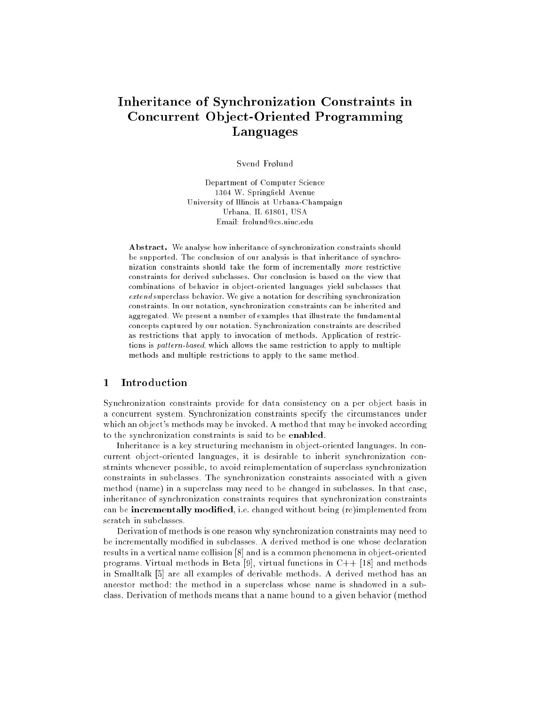# Inheritance of Synchronization Constraints in Concurrent Ob ject-Oriented Programming Languages

Svend Frølund

Department of Computer Science 1304 W. Springfield Avenue University of Illinois at Urbana-Champaign Urbana, IL 61801, USA Email: frolund@cs.uiuc.edu

Abstract. We analyse how inheritance of synchronization constraints should be supported. The conclusion of our analysis is that inheritance of synchronization constraints should take the form of incrementally more restrictive constraints for derived subclasses. Our conclusion is based on the view that combinations of behavior in ob ject-oriented languages yield subclasses that extend superclass behavior. We give a notation for describing synchronization constraints. In our notation, synchronization constraints can be inherited and aggregated. We present a number of examples that illustrate the fundamental concepts captured by our notation. Synchronization constraints are described as restrictions that apply to invocation of methods. Application of restrictions is pattern-based, which allows the same restriction to apply to multiple methods and multiple restrictions to apply to the same method.

# 1 Introduction

Synchronization constraints provide for data consistency on a per object basis in a concurrent system. Synchronization constraints specify the circumstances under which an object's methods may be invoked. A method that may be invoked according to the synchronization constraints is said to be enabled.

Inheritance is a key structuring mechanism in object-oriented languages. In concurrent object-oriented languages, it is desirable to inherit synchronization constraints whenever possible, to avoid reimplementation of superclass synchronization constraints in subclasses. The synchronization constraints associated with a given method (name) in a superclass may need to be changed in subclasses. In that case, inheritance of synchronization constraints requires that synchronization constraints can be **incrementally modified**, i.e. changed without being (re)implemented from scratch in subclasses.

Derivation of methods is one reason why synchronization constraints may need to be incrementally modied in subclasses. A derived method is one whose declaration results in a vertical name collision [8] and is a common phenomena in object-oriented programs. Virtual methods in Beta [9], virtual functions in C++ [18] and methods in Smalltalk [5] are all examples of derivable methods. A derived method has an ancestor method: the method in a superclass whose name is shadowed in a subclass. Derivation of methods means that a name bound to a given behavior (method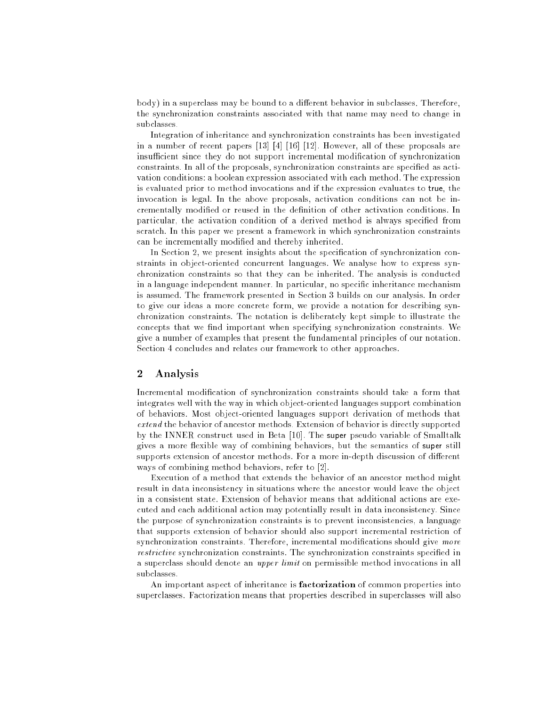body) in a superclass may be bound to a different behavior in subclasses. Therefore, the synchronization constraints associated with that name may need to change in subclasses.

Integration of inheritance and synchronization constraints has been investigated in a number of recent papers [13] [4] [16] [12]. However, all of these proposals are insufficient since they do not support incremental modification of synchronization constraints. In all of the proposals, synchronization constraints are specied as activation conditions: a boolean expression associated with each method. The expression is evaluated prior to method invocations and if the expression evaluates to true, the invocation is legal. In the above proposals, activation conditions can not be incrementally modied or reused in the denition of other activation conditions. In particular, the activation condition of a derived method is always specified from scratch. In this paper we present a framework in which synchronization constraints can be incrementally modied and thereby inherited.

In Section 2, we present insights about the specication of synchronization constraints in object-oriented concurrent languages. We analyse how to express synchronization constraints so that they can be inherited. The analysis is conducted in a language independent manner. In particular, no specific inheritance mechanism is assumed. The framework presented in Section 3 builds on our analysis. In order to give our ideas a more concrete form, we provide a notation for describing synchronization constraints. The notation is deliberately kept simple to illustrate the concepts that we find important when specifying synchronization constraints. We give a number of examples that present the fundamental principles of our notation. Section 4 concludes and relates our framework to other approaches.

# 2 Analysis

Incremental modication of synchronization constraints should take a form that integrates well with the way in which object-oriented languages support combination of behaviors. Most object-oriented languages support derivation of methods that extend the behavior of ancestor methods. Extension of behavior is directly supported by the INNER construct used in Beta [10]. The super pseudo variable of Smalltalk gives a more flexible way of combining behaviors, but the semantics of super still supports extension of ancestor methods. For a more in-depth discussion of different ways of combining method behaviors, refer to [2].

Execution of a method that extends the behavior of an ancestor method might result in data inconsistency in situations where the ancestor would leave the object in a consistent state. Extension of behavior means that additional actions are executed and each additional action may potentially result in data inconsistency. Since the purpose of synchronization constraints is to prevent inconsistencies, a language that supports extension of behavior should also support incremental restriction of synchronization constraints. Therefore, incremental modifications should give  $\it more$ restrictive synchronization constraints. The synchronization constraints specied in a superclass should denote an upper limit on permissible method invocations in all subclasses.

An important aspect of inheritance is **factorization** of common properties into superclasses. Factorization means that properties described in superclasses will also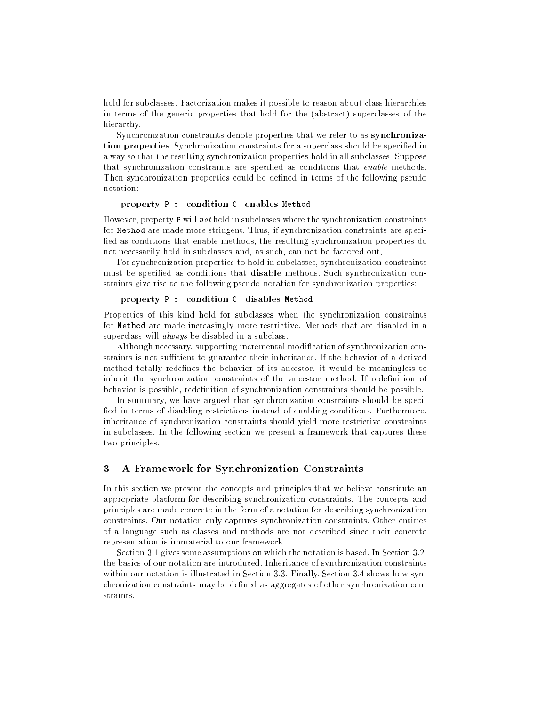hold for subclasses. Factorization makes it possible to reason about class hierarchies in terms of the generic properties that hold for the (abstract) superclasses of the hierarchy.

Synchronization constraints denote properties that we refer to as synchronization properties. Synchronization constraints for a superclass should be specied in a way so that the resulting synchronization properties hold in all subclasses. Suppose that synchronization constraints are specified as conditions that *enable* methods. Then synchronization properties could be defined in terms of the following pseudo notation:

# property P : condition C enables Method

However, property P will not hold in subclasses where the synchronization constraints for Method are made more stringent. Thus, if synchronization constraints are speci fied as conditions that enable methods, the resulting synchronization properties do not necessarily hold in subclasses and, as such, can not be factored out.

For synchronization properties to hold in subclasses, synchronization constraints must be specified as conditions that **disable** methods. Such synchronization constraints give rise to the following pseudo notation for synchronization properties:

### property P : condition C disables Method

Properties of this kind hold for subclasses when the synchronization constraints for Method are made increasingly more restrictive. Methods that are disabled in a superclass will always be disabled in a subclass.

Although necessary, supporting incremental modication of synchronization constraints is not sufficient to guarantee their inheritance. If the behavior of a derived method totally redefines the behavior of its ancestor, it would be meaningless to inherit the synchronization constraints of the ancestor method. If redefinition of behavior is possible, redefinition of synchronization constraints should be possible.

In summary, we have argued that synchronization constraints should be speci fied in terms of disabling restrictions instead of enabling conditions. Furthermore, inheritance of synchronization constraints should yield more restrictive constraints in subclasses. In the following section we present a framework that captures these two principles.

#### 3 3 A Framework for Synchronization Constraints

In this section we present the concepts and principles that we believe constitute an appropriate platform for describing synchronization constraints. The concepts and principles are made concrete in the form of a notation for describing synchronization constraints. Our notation only captures synchronization constraints. Other entities of a language such as classes and methods are not described since their concrete representation is immaterial to our framework.

Section 3.1 gives some assumptions on which the notation is based. In Section 3.2, the basics of our notation are introduced. Inheritance of synchronization constraints within our notation is illustrated in Section 3.3. Finally, Section 3.4 shows how synchronization constraints may be defined as aggregates of other synchronization constraints.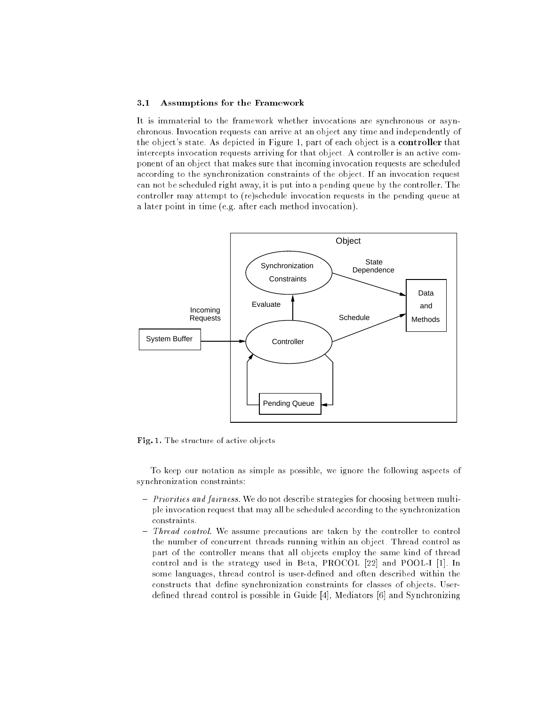### 3.1 Assumptions for the Framework

It is immaterial to the framework whether invocations are synchronous or asynchronous. Invocation requests can arrive at an object any time and independently of the object's state. As depicted in Figure 1, part of each object is a controller that intercepts invocation requests arriving for that object. A controller is an active component of an object that makes sure that incoming invocation requests are scheduled according to the synchronization constraints of the object. If an invocation request can not be scheduled right away, it is put into a pending queue by the controller. The controller may attempt to (re)schedule invocation requests in the pending queue at a later point in time (e.g. after each method invocation).



Fig. 1. The structure of active objects

To keep our notation as simple as possible, we ignore the following aspects of synchronization constraints:

- $-$  Priorities and fairness. We do not describe strategies for choosing between multiple invocation request that may all be scheduled according to the synchronization constraints.
- ${\cal -}$  Thread control. We assume precautions are taken by the controller to control the number of concurrent threads running within an object. Thread control as part of the controller means that all objects employ the same kind of thread control and is the strategy used in Beta, PROCOL [22] and POOL-I [1]. In some languages, thread control is user-defined and often described within the constructs that define synchronization constraints for classes of objects. Userdefined thread control is possible in Guide [4], Mediators [6] and Synchronizing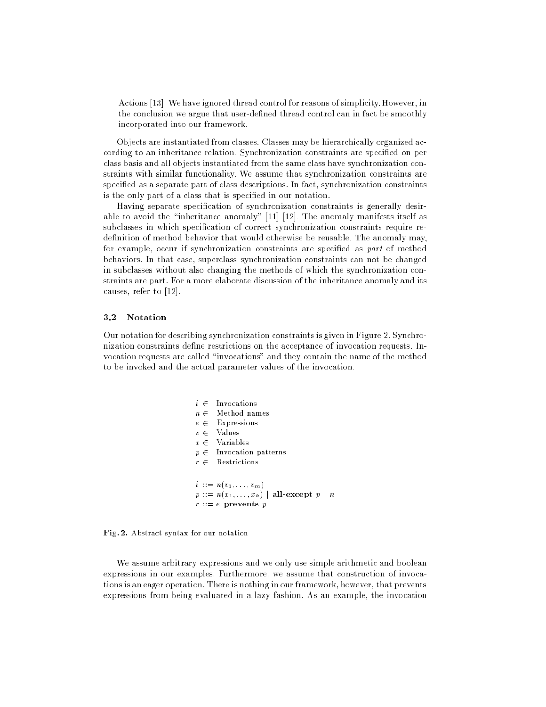Actions [13]. We have ignored thread control for reasons of simplicity.However, in the conclusion we argue that user-defined thread control can in fact be smoothly incorporated into our framework.

Objects are instantiated from classes. Classes may be hierarchically organized according to an inheritance relation. Synchronization constraints are specied on per class basis and all objects instantiated from the same class have synchronization constraints with similar functionality. We assume that synchronization constraints are specied as a separate part of class descriptions. In fact, synchronization constraints is the only part of a class that is specied in our notation.

Having separate specification of synchronization constraints is generally desirable to avoid the "inheritance anomaly" [11] [12]. The anomaly manifests itself as subclasses in which specication of correct synchronization constraints require redefinition of method behavior that would otherwise be reusable. The anomaly may, for example, occur if synchronization constraints are specified as part of method behaviors. In that case, superclass synchronization constraints can not be changed in subclasses without also changing the methods of which the synchronization constraints are part. For a more elaborate discussion of the inheritance anomaly and its causes, refer to [12].

#### $3.2$ Notation

Our notation for describing synchronization constraints is given in Figure 2. Synchronization constraints define restrictions on the acceptance of invocation requests. Invocation requests are called \invocations" and they contain the name of the method to be invoked and the actual parameter values of the invocation.

```
i \in Invocations
n \in Method names
e \in Expressions
v \in Values
x \in Variables
p \in Invocation patterns
r \in Restrictions
i := n(v_1, \ldots, v_m)p ::= n(x_1, \ldots, x_k) | all-except p \mid nr ::= e prevents p
```
Fig. 2. Abstract syntax for our notation

We assume arbitrary expressions and we only use simple arithmetic and boolean expressions in our examples. Furthermore, we assume that construction of invocations is an eager operation. There is nothing in our framework, however, that prevents expressions from being evaluated in a lazy fashion. As an example, the invocation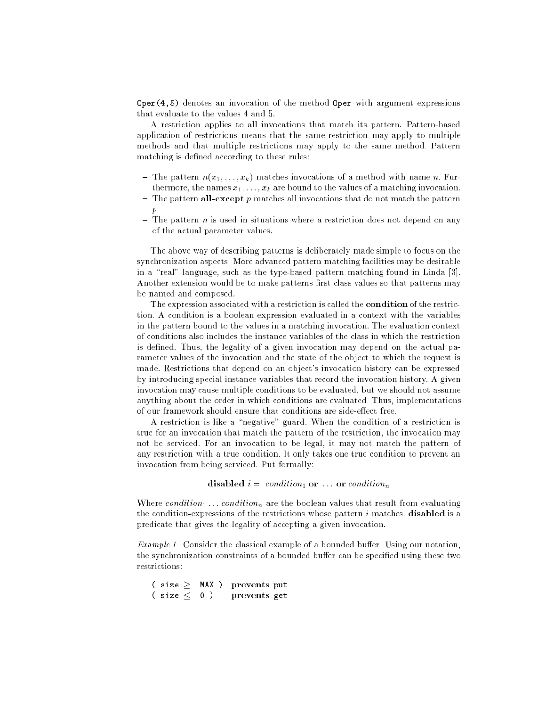Oper(4,5) denotes an invocation of the method Oper with argument expressions that evaluate to the values 4 and 5.

A restriction applies to all invocations that match its pattern. Pattern-based application of restrictions means that the same restriction may apply to multiple methods and that multiple restrictions may apply to the same method. Pattern matching is defined according to these rules:

- The pattern  $n(x_1, \ldots, x_k)$  matches invocations of a method with name n. Furthermore, the names  $x_1, \ldots, x_k$  are bound to the values of a matching invocation.
- ${\rm -}$  The pattern all-except p matches all invocations that do not match the pattern  $\overline{p}$ . p.
- ${\cal -}$  The pattern *n* is used in situations where a restriction does not depend on any of the actual parameter values.

The above way of describing patterns is deliberately made simple to focus on the synchronization aspects. More advanced pattern matching facilities may be desirable in a "real" language, such as the type-based pattern matching found in Linda [3]. Another extension would be to make patterns first class values so that patterns may be named and composed.

The expression associated with a restriction is called the condition of the restriction. A condition is a boolean expression evaluated in a context with the variables in the pattern bound to the values in a matching invocation. The evaluation context of conditions also includes the instance variables of the class in which the restriction is defined. Thus, the legality of a given invocation may depend on the actual parameter values of the invocation and the state of the object to which the request is made. Restrictions that depend on an object's invocation history can be expressed by introducing special instance variables that record the invocation history. A given invocation may cause multiple conditions to be evaluated, but we should not assume anything about the order in which conditions are evaluated. Thus, implementations of our framework should ensure that conditions are side-effect free.

A restriction is like a "negative" guard. When the condition of a restriction is true for an invocation that match the pattern of the restriction, the invocation may not be serviced. For an invocation to be legal, it may not match the pattern of any restriction with a true condition. It only takes one true condition to prevent an invocation from being serviced. Put formally:

```
disabled i = condition_1 or \ldots or condition<sub>n</sub>
```
Where condition<sub>1</sub> ... condition<sub>n</sub> are the boolean values that result from evaluating the condition-expressions of the restrictions whose pattern  $i$  matches. **disabled** is a predicate that gives the legality of accepting a given invocation.

Example 1. Consider the classical example of a bounded buer. Using our notation, the synchronization constraints of a bounded buffer can be specified using these two restrictions:

```
(size \geq \texttt{MAX}) prevents put
(size \le 0) prevents get
```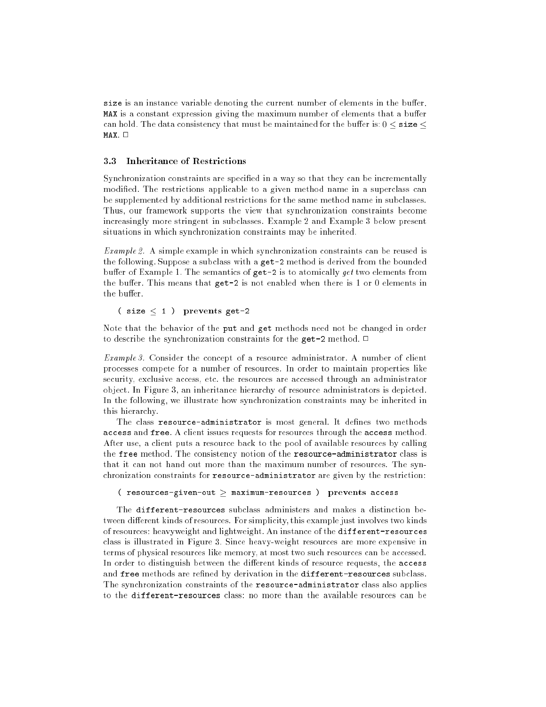size is an instance variable denoting the current number of elements in the buffer. MAX is a constant expression giving the maximum number of elements that a buffer can hold. The data consistency that must be maintained for the buffer is:  $0 \leq$  size  $\leq$  $MAX.$ MAX. <sup>2</sup>

#### 33 Inheritance of Restrictions

Synchronization constraints are specied in a way so that they can be incrementally modied. The restrictions applicable to a given method name in a superclass can be supplemented by additional restrictions for the same method name in subclasses. Thus, our framework supports the view that synchronization constraints become increasingly more stringent in subclasses. Example 2 and Example 3 below present situations in which synchronization constraints may be inherited.

Example 2. A simple example in which synchronization constraints can be reused is the following. Suppose a subclass with a get-2 method is derived from the bounded buffer of Example 1. The semantics of  $get-2$  is to atomically  $get$  two elements from the buffer. This means that  $get-2$  is not enabled when there is 1 or 0 elements in the buffer.

# ( $size < 1$ ) prevents get-2

Note that the behavior of the put and get methods need not be changed in order to describe the synchronization constraints for the get-2 method.  $\Box$ 

Example 3. Consider the concept of a resource administrator. A number of client processes compete for a number of resources. In order to maintain properties like security, exclusive access, etc. the resources are accessed through an administrator object. In Figure 3, an inheritance hierarchy of resource administrators is depicted. In the following, we illustrate how synchronization constraints may be inherited in this hierarchy.

The class resource-administrator is most general. It defines two methods access and free. A client issues requests for resources through the access method. After use, a client puts a resource back to the pool of available resources by calling the free method. The consistency notion of the resource-administrator class is that it can not hand out more than the maximum number of resources. The synchronization constraints for resource-administrator are given by the restriction:

# ( resources-given-out  $\geq$  maximum-resources ) prevents access

The different-resources subclass administers and makes a distinction between different kinds of resources. For simplicity, this example just involves two kinds of resources: heavyweight and lightweight. An instance of the different-resources class is illustrated in Figure 3. Since heavy-weight resources are more expensive in terms of physical resources like memory, at most two such resources can be accessed. In order to distinguish between the different kinds of resource requests, the access and free methods are refined by derivation in the different-resources subclass. The synchronization constraints of the resource-administrator class also applies to the different-resources class: no more than the available resources can be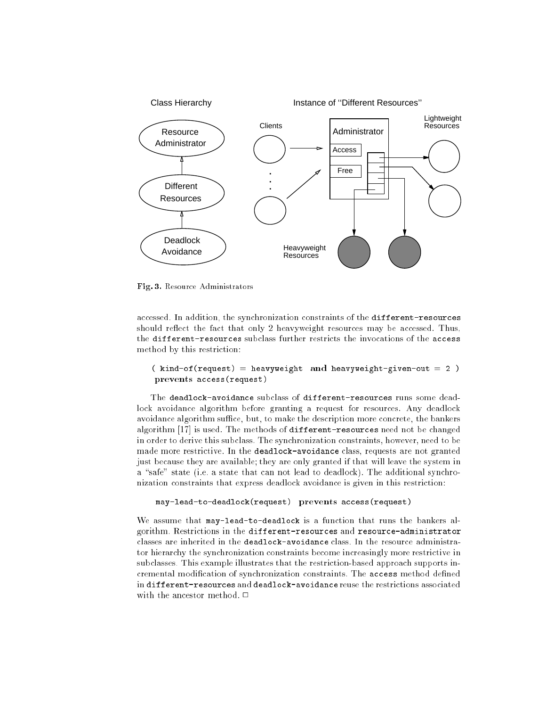

Fig. 3. Resource Administrators

accessed. In addition, the synchronization constraints of the different-resources should reflect the fact that only 2 heavyweight resources may be accessed. Thus, the different-resources subclass further restricts the invocations of the access method by this restriction:

# ( kind-of(request) = heavyweight and heavyweight-given-out = 2 ) prevents access(request)

The deadlock-avoidance subclass of different-resources runs some deadlock avoidance algorithm before granting a request for resources. Any deadlock avoidance algorithm suffice, but, to make the description more concrete, the bankers algorithm [17] is used. The methods of different-resources need not be changed in order to derive this subclass. The synchronization constraints, however, need to be made more restrictive. In the deadlock-avoidance class, requests are not granted just because they are available; they are only granted if that will leave the system in a "safe" state (i.e. a state that can not lead to deadlock). The additional synchronization constraints that express deadlock avoidance is given in this restriction:

# may-lead-to-deadlock(request) prevents access(request)

We assume that may-lead-to-deadlock is a function that runs the bankers algorithm. Restrictions in the different-resources and resource-administrator classes are inherited in the deadlock-avoidance class. In the resource administrator hierarchy the synchronization constraints become increasingly more restrictive in subclasses. This example illustrates that the restriction-based approach supports incremental modification of synchronization constraints. The access method defined in different-resources and deadlock-avoidance reuse the restrictions associated with the ancestor method.  $\Box$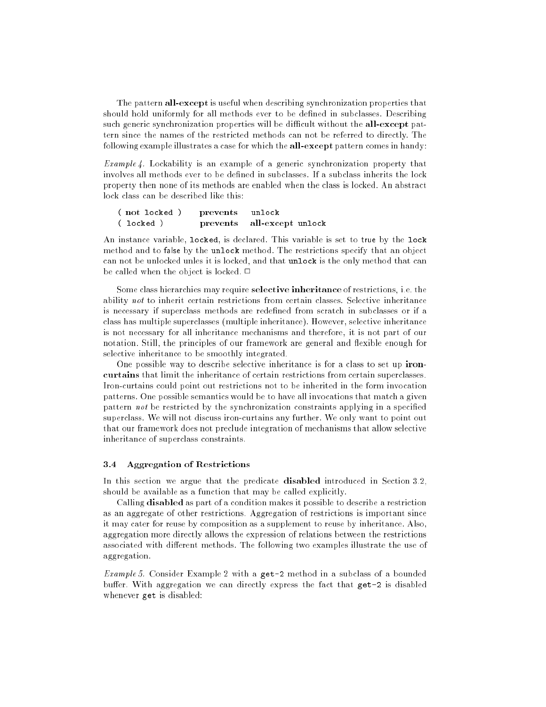The pattern all-except is useful when describing synchronization properties that should hold uniformly for all methods ever to be defined in subclasses. Describing such generic synchronization properties will be difficult without the all-except pattern since the names of the restricted methods can not be referred to directly. The following example illustrates a case for which the  $all-except$  pattern comes in handy:

Example 4. Lockability is an example of a generic synchronization property that involves all methods ever to be defined in subclasses. If a subclass inherits the lock property then none of its methods are enabled when the class is locked. An abstract lock class can be described like this:

( not locked ) prevents unlock  $(locked)$ prevents all-except unlock

An instance variable, locked, is declared. This variable is set to true by the lock method and to false by the unlock method. The restrictions specify that an object can not be unlocked unles it is locked, and that unlock is the only method that can be called when the object is locked.  $\Box$ 

Some class hierarchies may require **selective inheritance** of restrictions, i.e. the ability not to inherit certain restrictions from certain classes. Selective inheritance is necessary if superclass methods are redened from scratch in subclasses or if a class has multiple superclasses (multiple inheritance). However, selective inheritance is not necessary for all inheritance mechanisms and therefore, it is not part of our notation. Still, the principles of our framework are general and flexible enough for selective inheritance to be smoothly integrated.

One possible way to describe selective inheritance is for a class to set up ironcurtains that limit the inheritance of certain restrictions from certain superclasses. Iron-curtains could point out restrictions not to be inherited in the form invocation patterns. One possible semantics would be to have all invocations that match a given pattern not be restricted by the synchronization constraints applying in a specied superclass. We will not discuss iron-curtains any further. We only want to point out that our framework does not preclude integration of mechanisms that allow selective inheritance of superclass constraints.

### 3.4 Aggregation of Restrictions

In this section we argue that the predicate disabled introduced in Section 3.2, should be available as a function that may be called explicitly.

Calling disabled as part of a condition makes it possible to describe a restriction as an aggregate of other restrictions. Aggregation of restrictions is important since it may cater for reuse by composition as a supplement to reuse by inheritance. Also, aggregation more directly allows the expression of relations between the restrictions associated with different methods. The following two examples illustrate the use of aggregation.

Example 5. Consider Example 2 with a get-2 method in a subclass of a bounded buffer. With aggregation we can directly express the fact that get-2 is disabled whenever get is disabled: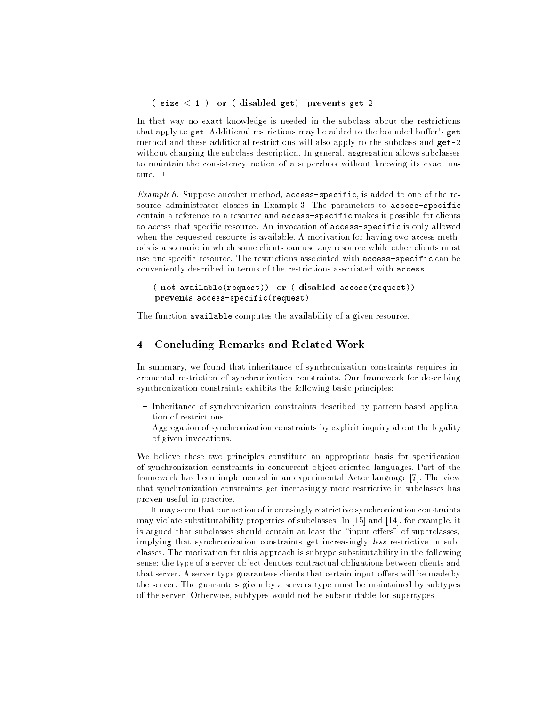In that way no exact knowledge is needed in the subclass about the restrictions that apply to get. Additional restrictions may be added to the bounded buffer's get method and these additional restrictions will also apply to the subclass and get-2 without changing the subclass description. In general, aggregation allows subclasses to maintain the consistency notion of a superclass without knowing its exact nature.  $\Box$ 

Example 6. Suppose another method, access-specific, is added to one of the resource administrator classes in Example 3. The parameters to access-specific contain a reference to a resource and access-specific makes it possible for clients to access that specific resource. An invocation of access-specific is only allowed when the requested resource is available. A motivation for having two access methods is a scenario in which some clients can use any resource while other clients must use one specific resource. The restrictions associated with access-specific can be conveniently described in terms of the restrictions associated with access.

### ( not available(request)) or ( disabled access(request)) prevents access-specific(request)

The function available computes the availability of a given resource.  $\Box$ 

#### 4 Concluding Remarks and Related Work 4

In summary, we found that inheritance of synchronization constraints requires incremental restriction of synchronization constraints. Our framework for describing synchronization constraints exhibits the following basic principles:

- Inheritance of synchronization constraints described by pattern-based application of restrictions.
- { Aggregation of synchronization constraints by explicit inquiry about the legality of given invocations.

We believe these two principles constitute an appropriate basis for specification of synchronization constraints in concurrent object-oriented languages. Part of the framework has been implemented in an experimental Actor language [7]. The view that synchronization constraints get increasingly more restrictive in subclasses has proven useful in practice.

It may seem that our notion of increasingly restrictive synchronization constraints may violate substitutability properties of subclasses. In [15] and [14], for example, it is argued that subclasses should contain at least the "input offers" of superclasses, implying that synchronization constraints get increasingly less restrictive in subclasses. The motivation for this approach is subtype substitutability in the following sense: the type of a server object denotes contractual obligations between clients and that server. A server type guarantees clients that certain input-offers will be made by the server. The guarantees given by a servers type must be maintained by subtypes of the server. Otherwise, subtypes would not be substitutable for supertypes.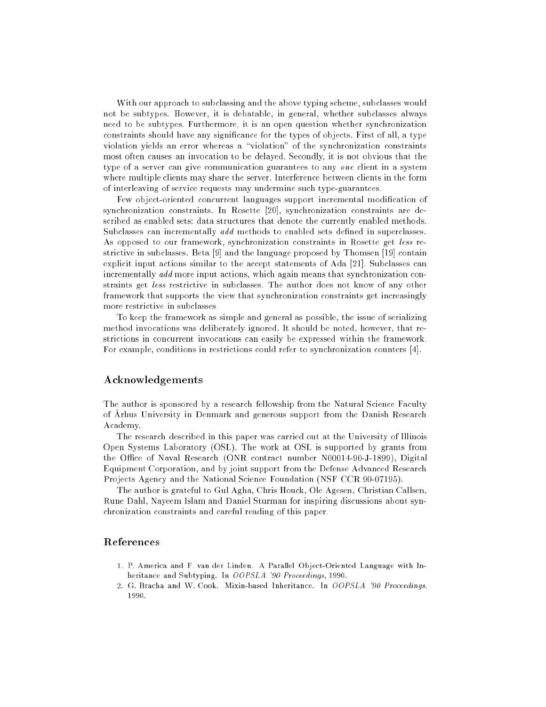With our approach to subclassing and the above typing scheme, subclasses would not be subtypes. However, it is debatable, in general, whether subclasses always need to be subtypes. Furthermore, it is an open question whether synchronization constraints should have any significance for the types of objects. First of all, a type violation yields an error whereas a \violation" of the synchronization constraints most often causes an invocation to be delayed. Secondly, it is not obvious that the type of a server can give communication guarantees to any one client in a system where multiple clients may share the server. Interference between clients in the form of interleaving of service requests may undermine such type-guarantees.

Few object-oriented concurrent languages support incremental modication of synchronization constraints. In Rosette [20], synchronization constraints are described as enabled sets: data structures that denote the currently enabled methods. Subclasses can incrementally add methods to enabled sets defined in superclasses. As opposed to our framework, synchronization constraints in Rosette get less restrictive in subclasses. Beta [9] and the language proposed by Thomsen [19] contain explicit input actions similar to the accept statements of Ada [21]. Subclasses can incrementally add more input actions, which again means that synchronization constraints get less restrictive in subclasses. The author does not know of any other framework that supports the view that synchronization constraints get increasingly more restrictive in subclasses.

To keep the framework as simple and general as possible, the issue of serializing method invocations was deliberately ignored. It should be noted, however, that restrictions in concurrent invocations can easily be expressed within the framework. For example, conditions in restrictions could refer to synchronization counters [4].

# Acknowledgements

The author is sponsored by a research fellowship from the Natural Science Faculty of Arhus University in Denmark and generous support from the Danish Research Academy.

The research described in this paper was carried out at the University of Illinois Open Systems Laboratory (OSL). The work at OSL is supported by grants from the Office of Naval Research (ONR contract number N00014-90-J-1899), Digital Equipment Corporation, and by joint support from the Defense Advanced Research Projects Agency and the National Science Foundation (NSF CCR 90-07195).

The author is grateful to Gul Agha, Chris Houck, Ole Agesen, Christian Callsen, Rune Dahl, Nayeem Islam and Daniel Sturman for inspiring discussions about synchronization constraints and careful reading of this paper.

# References

- 1. P. America and F. van der Linden. A Parallel Object-Oriented Language with Inheritance and Subtyping. In OOPSLA '90 Proceedings, 1990.
- 2. G. Bracha and W. Cook. Mixin-based Inheritance. In OOPSLA '90 Proceedings, 1990.